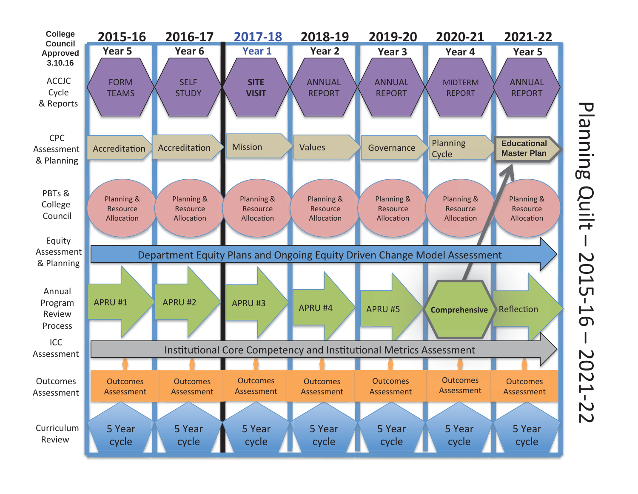

Planning Quilt -2015- $\overline{\phantom{0}}$  $\sigma$  $\mathbf{I}$ 2021-2  $\overline{\mathsf{C}}$